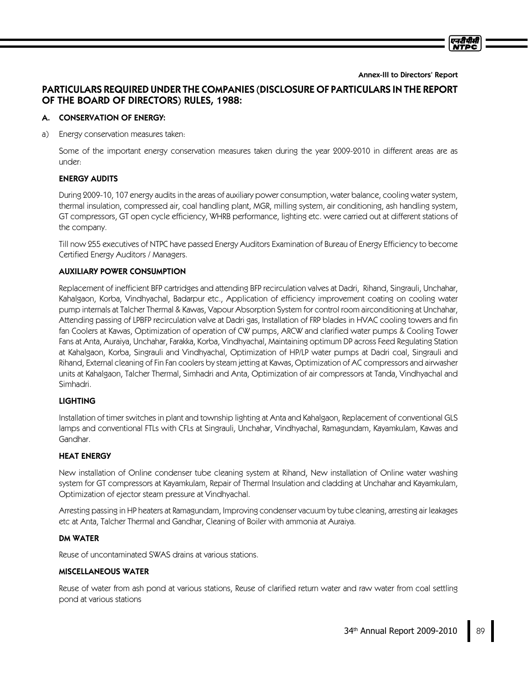Annex-III to Directors' Report

# PARTICULARS REQUIRED UNDER THE COMPANIES (DISCLOSURE OF PARTICULARS IN THE REPORT OF THE BOARD OF DIRECTORS) RULES, 1988:

## A. CONSERVATION OF ENERGY:

a) Energy conservation measures taken:

Some of the important energy conservation measures taken during the year 2009-2010 in different areas are as under:

## ENERGY AUDITS

During 2009-10, 107 energy audits in the areas of auxiliary power consumption, water balance, cooling water system, thermal insulation, compressed air, coal handling plant, MGR, milling system, air conditioning, ash handling system, GT compressors, GT open cycle efficiency, WHRB performance, lighting etc. were carried out at different stations of the company.

Till now 255 executives of NTPC have passed Energy Auditors Examination of Bureau of Energy Efficiency to become Certified Energy Auditors / Managers.

## AUXILIARY POWER CONSUMPTION

Replacement of inefficient BFP cartridges and attending BFP recirculation valves at Dadri, Rihand, Singrauli, Unchahar, Kahalgaon, Korba, Vindhyachal, Badarpur etc., Application of efficiency improvement coating on cooling water pump internals at Talcher Thermal & Kawas, Vapour Absorption System for control room airconditioning at Unchahar, Attending passing of LPBFP recirculation valve at Dadri gas, Installation of FRP blades in HVAC cooling towers and fin fan Coolers at Kawas, Optimization of operation of CW pumps, ARCW and clarified water pumps & Cooling Tower Fans at Anta, Auraiya, Unchahar, Farakka, Korba, Vindhyachal, Maintaining optimum DP across Feed Regulating Station at Kahalgaon, Korba, Singrauli and Vindhyachal, Optimization of HP/LP water pumps at Dadri coal, Singrauli and Rihand, External cleaning ofFin Fan coolers by steam jetting at Kawas, Optimization of AC compressors and airwasher units at Kahalgaon, Talcher Thermal, Simhadri and Anta, Optimization of air compressors at Tanda, Vindhyachal and Simhadri.

# LIGHTING

Installation of timer switches in plant and township lighting at Anta and Kahalgaon, Replacement of conventional GLS lamps and conventional FTLs with CFLs at Singrauli, Unchahar, Vindhyachal, Ramagundam, Kayamkulam, Kawas and Gandhar.

### HEAT ENERGY

New installation of Online condenser tube cleaning system at Rihand, New installation of Online water washing system for GT compressors at Kayamkulam, Repair of Thermal Insulation and cladding at Unchahar and Kayamkulam, Optimization of ejector steam pressure at Vindhyachal.

Arresting passing in HP heaters at Ramagundam, Improving condenser vacuum by tube cleaning, arresting air leakages etc at Anta, Talcher Thermal and Gandhar, Cleaning of Boiler with ammonia at Auraiya.

### DM WATER

Reuse of uncontaminated SWAS drains at various stations.

### MISCELLANEOUS WATER

Reuse of water from ash pond at various stations, Reuse of clarified return water and raw water from coal settling pond at various stations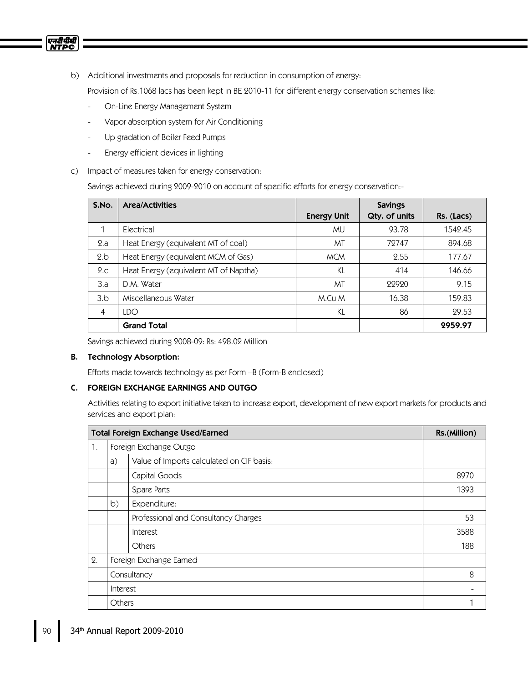

b) Additional investments and proposals for reduction in consumption of energy:

Provision of Rs.1068 lacs has been kept in BE 2010-11 for different energy conservation schemes like:

- On-Line Energy Management System
- Vapor absorption system for Air Conditioning
- Up gradation of Boiler Feed Pumps
- Energy efficient devices in lighting
- c) Impact of measures taken for energy conservation:

Savings achieved during 2009-2010 on account of specific efforts for energy conservation:-

| S.No.          | <b>Area/Activities</b>                | <b>Energy Unit</b> | <b>Savings</b><br>Qty. of units | $Rs.$ (Lacs) |
|----------------|---------------------------------------|--------------------|---------------------------------|--------------|
|                | Electrical                            | MU                 | 93.78                           | 1542.45      |
| 2.a            | Heat Energy (equivalent MT of coal)   | МT                 | 79747                           | 894.68       |
| 2.b            | Heat Energy (equivalent MCM of Gas)   | <b>MCM</b>         | 2.55                            | 177.67       |
| 2.c            | Heat Energy (equivalent MT of Naptha) | KL                 | 414                             | 146.66       |
| 3.a            | D.M. Water                            | MT                 | 22920                           | 9.15         |
| 3.b            | Miscellaneous Water                   | M.Cu M             | 16.38                           | 159.83       |
| $\overline{4}$ | LDO                                   | KL                 | 86                              | 29.53        |
|                | <b>Grand Total</b>                    |                    |                                 | 2959.97      |

Savings achieved during 2008-09: Rs: 498.02 Million

### B. Technology Absorption:

Efforts made towards technology as per Form –B (Form-B enclosed)

# C. FOREIGN EXCHANGE EARNINGS AND OUTGO

Activities relating to export initiative taken to increase export, development of new export markets for products and services and export plan:

|    | <b>Total Foreign Exchange Used/Earned</b> |                                           |      |  |
|----|-------------------------------------------|-------------------------------------------|------|--|
| 1. |                                           | Foreign Exchange Outgo                    |      |  |
|    | a)                                        | Value of Imports calculated on CIF basis: |      |  |
|    |                                           | Capital Goods                             | 8970 |  |
|    | Spare Parts                               |                                           | 1393 |  |
|    | b)<br>Expenditure:                        |                                           |      |  |
|    |                                           | Professional and Consultancy Charges      | 53   |  |
|    |                                           | Interest                                  | 3588 |  |
|    |                                           | Others                                    | 188  |  |
| 2. | Foreign Exchange Earned                   |                                           |      |  |
|    | Consultancy                               |                                           |      |  |
|    | Interest                                  |                                           |      |  |
|    | Others                                    |                                           |      |  |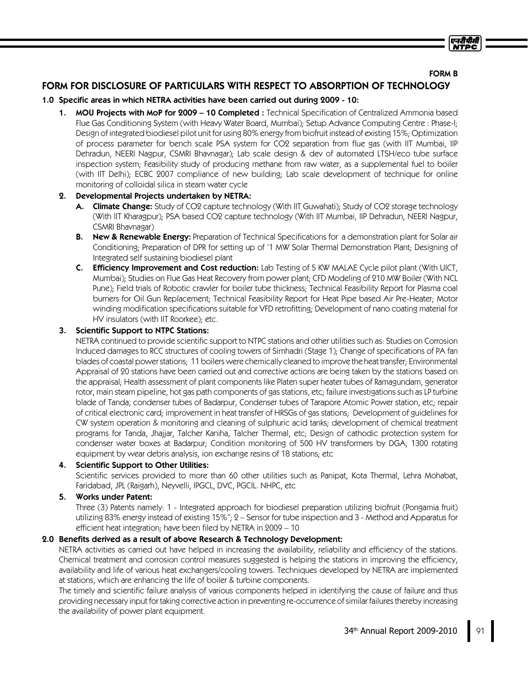### FORM B

एनटी पी.सी

# FORM FOR DISCLOSURE OF PARTICULARS WITH RESPECT TO ABSORPTION OF TECHNOLOGY

### 1.0 Specific areas in which NETRA activities have been carried out during 2009 - 10:

1. MOU Projects with MoP for 2009 - 10 Completed: Technical Specification of Centralized Ammonia based Flue Gas Conditioning System (with Heavy Water Board, Mumbai); Setup Advance Computing Centre : Phase-I; Design of integrated biodiesel pilot unit for using 80% energy from biofruit instead of existing 15%;Optimization of process parameter for bench scale PSA system for CO2 separation from flue gas (with IIT Mumbai, IIP Dehradun, NEERI Nagpur, CSMRI Bhavnagar); Lab scale design & dev of automated LTSH/eco tube surface inspection system; Feasibility study of producing methane from raw water, as a supplemental fuel to boiler (with IIT Delhi); ECBC 2007 compliance of new building; Lab scale development of technique for online monitoring of colloidal silica in steam water cycle

### 2. Developmental Projects undertaken by NETRA:

- A. Climate Change: Study of CO2 capture technology (With IIT Guwahati); Study of CO2 storage technology (With IIT Kharagpur); PSA based CO2 capture technology (With IIT Mumbai, IIP Dehradun, NEERI Nagpur, CSMRI Bhavnagar)
- B. New & Renewable Energy: Preparation of Technical Specifications for a demonstration plant for Solar air Conditioning; Preparation of DPR for setting up of '1 MW Solar Thermal Demonstration Plant; Designing of Integrated self sustaining biodiesel plant
- **C.** Efficiency Improvement and Cost reduction: Lab Testing of 5 KW MALAE Cycle pilot plant (With UICT, Mumbai); Studies on Flue Gas Heat Recovery from power plant; CFD Modeling of 210 MW Boiler (With NCL Pune); Field trials of Robotic crawler for boiler tube thickness; Technical Feasibility Report for Plasma coal burners for Oil Gun Replacement; Technical Feasibility Report for Heat Pipe based Air Pre-Heater; Motor winding modification specifications suitable for VFD retrofitting; Development of nano coating material for HV insulators (with IIT Roorkee); etc.

### 3. Scientific Support to NTPC Stations:

NETRA continued to provide scientific support to NTPC stations and other utilities such as: Studies on Corrosion Induced damages to RCC structures of cooling towers of Simhadri (Stage 1); Change of specifications of PA fan blades of coastal powerstations;11 boilers were chemically cleaned to improve the heat transfer;Environmental Appraisal of 20 stations have been carried out and corrective actions are being taken by the stations based on the appraisal; Health assessment of plant components like Platen super heater tubes of Ramagundam, generator rotor, main steam pipeline, hot gas path components of gas stations, etc; failure investigations such as LP turbine blade of Tanda, condenser tubes of Badarpur, Condenser tubes of Tarapore Atomic Power station, etc; repair of critical electronic card; improvement in heat transfer of HRSGs of gas stations; Development of guidelines for CW system operation & monitoring and cleaning of sulphuric acid tanks; development of chemical treatment programs for Tanda, Jhajjar, Talcher Kaniha, Talcher Thermal, etc; Design of cathodic protection system for condenser water boxes at Badarpur; Condition monitoring of 500 HV transformers by DGA, 1300 rotating equipment by wear debris analysis, ion exchange resins of 18 stations;etc

#### 4. Scientific Support to Other Utilities:

Scientific services provided to more than 60 other utilities such as Panipat, Kota Thermal, Lehra Mohabat, Faridabad, JPL (Raigarh), Neyvelli, IPGCL, DVC, PGCIL. NHPC, etc

### 5. Works under Patent:

Three (3) Patents namely: 1 - Integrated approach for biodiesel preparation utilizing biofruit (Pongamia fruit) utilizing 83% energy instead of existing 15%"; 2 – Sensor for tube inspection and 3 - Method and Apparatus for efficient heat integration; have been filed by NETRA in 2009 – 10

# 2.0 Benefits derived as a result of above Research & Technology Development:

NETRA activities as carried out have helped in increasing the availability, reliability and efficiency of the stations. Chemical treatment and corrosion control measures suggested is helping the stations in improving the efficiency, availability and life of various heat exchangers/cooling towers. Techniques developed by NETRA are implemented at stations, which are enhancing the life of boiler & turbine components.

The timely and scientific failure analysis of various components helped in identifying the cause of failure and thus providing necessary input for taking corrective action in preventing re-occurrence of similar failures thereby increasing the availability of power plant equipment.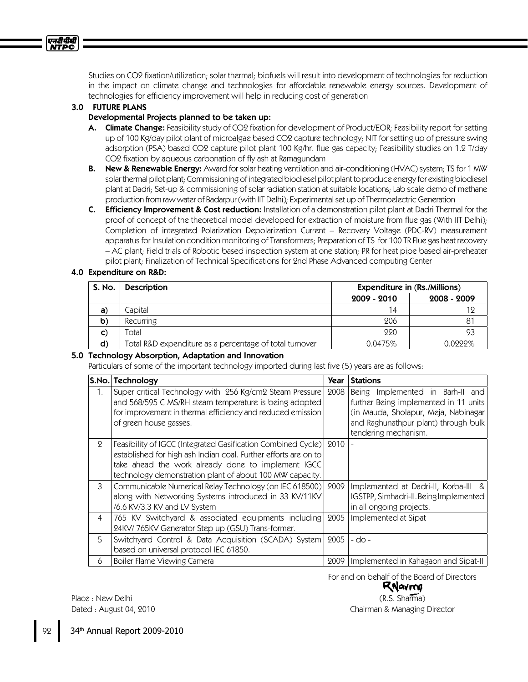Studies on CO2 fixation/utilization; solar thermal; biofuels will result into development of technologies for reduction in the impact on climate change and technologies for affordable renewable energy sources. Development of technologies for efficiency improvement will help in reducing cost of generation

### 3.0 FUTURE PLANS

### Developmental Projects planned to be taken up:

- A. Climate Change: Feasibility study of CO2 fixation for development of Product/EOR; Feasibility report for setting up of 100 Kg/day pilot plant of microalgae based CO2 capture technology; NIT for setting up of pressure swing adsorption (PSA) based CO2 capture pilot plant 100 Kg/hr. flue gas capacity; Feasibility studies on 1.2 T/day CO2 fixation by aqueous carbonation of fly ash at Ramagundam
- B. New & Renewable Energy: Award for solar heating ventilation and air-conditioning (HVAC) system; TS for 1 MW solar thermal pilot plant;Commissioning of integrated biodiesel pilot plant to produce energy for existing biodiesel plant at Dadri; Set-up & commissioning of solar radiation station at suitable locations; Lab scale demo of methane production from raw water of Badarpur (with IIT Delhi); Experimental set up of Thermoelectric Generation
- C. Efficiency Improvement & Cost reduction: Installation of a demonstration pilot plant at Dadri Thermal for the proof of concept of the theoretical model developed for extraction of moisture from flue gas (With IIT Delhi); Completion of integrated Polarization Depolarization Current – Recovery Voltage (PDC-RV) measurement apparatus for Insulation condition monitoring of Transformers; Preparation of TS for 100 TR Flue gas heat recovery – AC plant; Field trials of Robotic based inspection system at one station; PR for heat pipe based air-preheater pilot plant; Finalization of Technical Specifications for 2nd Phase Advanced computing Center

### 4.0 Expenditure on R&D:

| S. No.       | <b>Description</b>                                      | Expenditure in (Rs./Millions) |             |
|--------------|---------------------------------------------------------|-------------------------------|-------------|
|              |                                                         | 2009 - 2010                   | 2008 - 2009 |
| a)           | Capital                                                 | 14                            | 12          |
| $\mathbf b)$ | <b>Recurring</b>                                        | 206                           | 81          |
| C)           | Total                                                   | 220                           | 93          |
| $\mathsf{d}$ | Total R&D expenditure as a percentage of total turnover | 0.0475%                       | 0.0222%     |

#### 5.0 Technology Absorption, Adaptation and Innovation

Particulars of some of the important technology imported during last five (5) years are as follows:

|                | S.No. Technology                                                | Year | <b>Stations</b>                        |
|----------------|-----------------------------------------------------------------|------|----------------------------------------|
| 1.             | Super critical Technology with 256 Kg/cm2 Steam Pressure        | 2008 | Being Implemented in Barh-II and       |
|                | and 568/595 C MS/RH steam temperature is being adopted          |      | further Being implemented in 11 units  |
|                | for improvement in thermal efficiency and reduced emission      |      | (in Mauda, Sholapur, Meja, Nabinagar   |
|                | of green house gasses.                                          |      | and Raghunathpur plant) through bulk   |
|                |                                                                 |      | tendering mechanism.                   |
| $\mathbf{Q}$   | Feasibility of IGCC (Integrated Gasification Combined Cycle)    | 2010 |                                        |
|                | established for high ash Indian coal. Further efforts are on to |      |                                        |
|                | take ahead the work already done to implement IGCC              |      |                                        |
|                | technology demonstration plant of about 100 MW capacity.        |      |                                        |
| 3              | Communicable Numerical Relay Technology (on IEC 618500)         | 2009 | Implemented at Dadri-II, Korba-III &   |
|                | along with Networking Systems introduced in 33 KV/11KV          |      | IGSTPP, Simhadri-II. Being Implemented |
|                | /6.6 KV/3.3 KV and LV System                                    |      | in all ongoing projects.               |
| $\overline{4}$ | 765 KV Switchyard & associated equipments including             | 2005 | Implemented at Sipat                   |
|                | 24KV/765KV Generator Step up (GSU) Trans-former.                |      |                                        |
| 5              | Switchyard Control & Data Acquisition (SCADA) System            | 2005 | $-do-$                                 |
|                | based on universal protocol IEC 61850.                          |      |                                        |
| 6              | Boiler Flame Viewing Camera                                     | 2009 | Implemented in Kahagaon and Sipat-II   |

For and on behalf of the Board of Directors

RNavme (R.S. Sharma) Chairman & Managing Director

Place : New Delhi Dated : August 04, 2010

एनदीपीसी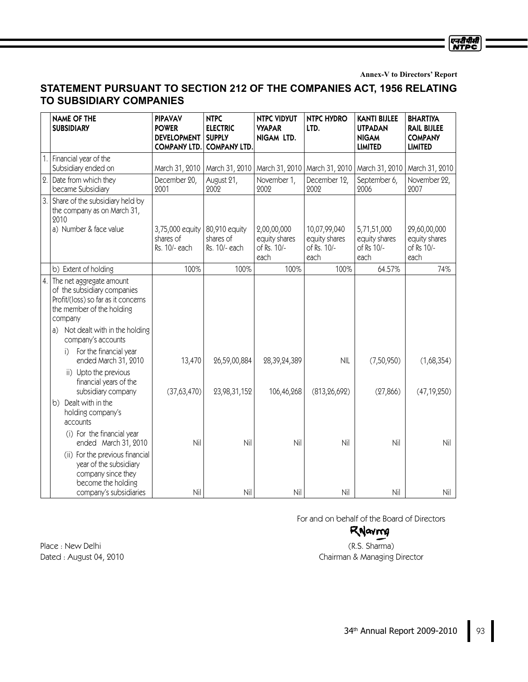**Annex-V to Directors' Report**

एनदीपीसी<br>NTPC

# **STATEMENT PURSUANT TO SECTION 212 OF THE COMPANIES ACT, 1956 RELATING TO SUBSIDIARY COMPANIES**

|    | <b>NAME OF THE</b><br><b>SUBSIDIARY</b>                                                                                                                                                                                                | <b>PIPAVAV</b><br><b>POWER</b><br><b>DEVELOPMENT</b><br><b>COMPANY LTD.</b> | <b>NTPC</b><br><b>ELECTRIC</b><br><b>SUPPLY</b><br><b>COMPANY LTD.</b> | <b>NTPC VIDYUT</b><br><b>VYAPAR</b><br>NIGAM LTD.   | <b>NTPC HYDRO</b><br>LTD.                            | <b>KANTI BIJLEE</b><br><b>UTPADAN</b><br><b>NIGAM</b><br><b>LIMITED</b> | <b>BHARTIYA</b><br><b>RAIL BIJLEE</b><br><b>COMPANY</b><br><b>LIMITED</b> |
|----|----------------------------------------------------------------------------------------------------------------------------------------------------------------------------------------------------------------------------------------|-----------------------------------------------------------------------------|------------------------------------------------------------------------|-----------------------------------------------------|------------------------------------------------------|-------------------------------------------------------------------------|---------------------------------------------------------------------------|
|    | Financial year of the<br>Subsidiary ended on                                                                                                                                                                                           | March 31, 2010                                                              | March 31, 2010                                                         | March 31, 2010   March 31, 2010                     |                                                      | March 31, 2010                                                          | March 31, 2010                                                            |
| 2. | Date from which they<br>became Subsidiary                                                                                                                                                                                              | December 20,<br>2001                                                        | August 21,<br>2002                                                     | November 1,<br>2002                                 | December 12,<br>2002                                 | September 6,<br>2006                                                    | November 22,<br>2007                                                      |
| 3. | Share of the subsidiary held by<br>the company as on March 31,<br>2010<br>a) Number & face value                                                                                                                                       | 3,75,000 equity<br>shares of<br>Rs. 10/- each                               | 80,910 equity<br>shares of<br>Rs. 10/- each                            | 2,00,00,000<br>equity shares<br>of Rs. 10/-<br>each | 10,07,99,040<br>equity shares<br>of Rs. 10/-<br>each | 5,71,51,000<br>equity shares<br>of Rs 10/-<br>each                      | 29,60,00,000<br>equity shares<br>of Rs 10/-<br>each                       |
|    | b) Extent of holding                                                                                                                                                                                                                   | 100%                                                                        | 100%                                                                   | 100%                                                | 100%                                                 | 64.57%                                                                  | 74%                                                                       |
|    | 4. The net aggregate amount<br>of the subsidiary companies<br>Profit/(loss) so far as it concerns<br>the member of the holding<br>company<br>Not dealt with in the holding<br>a)<br>company's accounts<br>For the financial year<br>i) |                                                                             |                                                                        |                                                     |                                                      |                                                                         |                                                                           |
|    | ended March 31, 2010<br>ii) Upto the previous<br>financial years of the<br>subsidiary company                                                                                                                                          | 13,470<br>(37,63,470)                                                       | 26,59,00,884<br>23,98,31,152                                           | 28,39,24,389<br>106,46,268                          | <b>NIL</b><br>(813, 26, 692)                         | (7,50,950)<br>(27, 866)                                                 | (1,68,354)<br>(47, 19, 250)                                               |
|    | b) Dealt with in the<br>holding company's<br>accounts<br>(i) For the financial year                                                                                                                                                    |                                                                             |                                                                        |                                                     |                                                      |                                                                         |                                                                           |
|    | ended March 31, 2010<br>(ii) For the previous financial<br>year of the subsidiary<br>company since they<br>become the holding                                                                                                          | Nil                                                                         | Nil                                                                    | Nil                                                 | Nil                                                  | Nil                                                                     | Nil                                                                       |
|    | company's subsidiaries                                                                                                                                                                                                                 | Nil                                                                         | Nil                                                                    | Nil                                                 | Nil                                                  | Nil                                                                     | Nil                                                                       |

For and on behalf of the Board of Directors

# RNavma

(R.S. Sharma) Chairman & Managing Director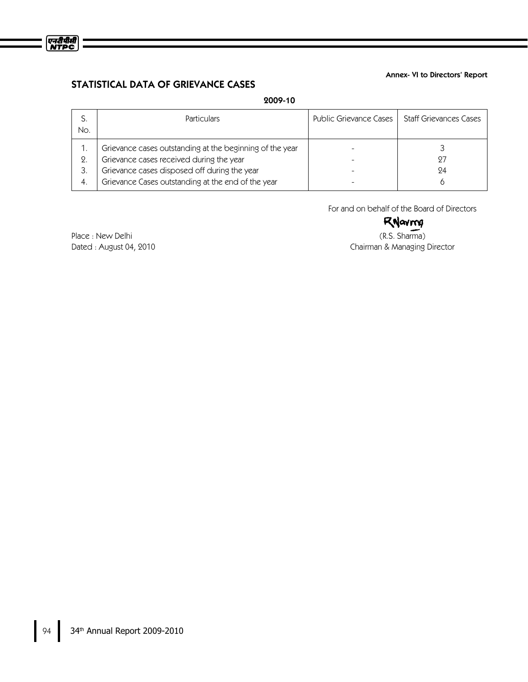

#### Annex- VI to Directors' Report

# STATISTICAL DATA OF GRIEVANCE CASES

# 2009-10

| No. | <b>Particulars</b>                                       | Public Grievance Cases 1 | <b>Staff Grievances Cases</b> |
|-----|----------------------------------------------------------|--------------------------|-------------------------------|
|     | Grievance cases outstanding at the beginning of the year |                          |                               |
| 2.  | Grievance cases received during the year                 |                          | 97                            |
| 3.  | Grievance cases disposed off during the year             |                          | 94                            |
| 4.  | Grievance Cases outstanding at the end of the year       |                          |                               |

For and on behalf of the Board of Directors

# RNavroy

(R.S. Sharma) Chairman & Managing Director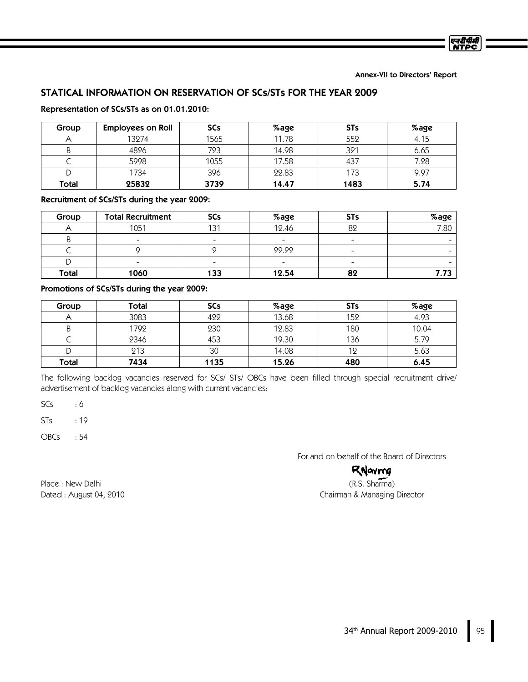Annex-VII to Directors' Report

एनटीपीसी **NTDC** 

# STATICAL INFORMATION ON RESERVATION OF SCs/STs FOR THE YEAR 2009

### Representation of SCs/STs as on 01.01.2010:

| Group | <b>Employees on Roll</b> | <b>SCs</b> | %age  | <b>STs</b> | %age |
|-------|--------------------------|------------|-------|------------|------|
|       | 13274                    | 1565       | 11.78 | 552        | 4.15 |
|       | 4826                     | 723        | 14.98 | 321        | 6.65 |
|       | 5998                     | 1055       | 17.58 | 437        | 7.28 |
|       | 1734                     | 396        | 22.83 | 173        | 9.97 |
| Total | 25832                    | 3739       | 14.47 | 1483       | 5.74 |

### Recruitment of SCs/STs during the year 2009:

| Group        | <b>Total Recruitment</b> | SCs                      | %age                     | <b>STs</b>               | %age |
|--------------|--------------------------|--------------------------|--------------------------|--------------------------|------|
|              | 1051                     | 131                      | 12.46                    | 82                       | 7.80 |
|              | $\overline{\phantom{a}}$ |                          | ۰                        |                          |      |
|              |                          |                          | 22.22                    | $\overline{\phantom{a}}$ |      |
|              | $\overline{\phantom{0}}$ | $\overline{\phantom{0}}$ | $\overline{\phantom{a}}$ |                          |      |
| <b>Total</b> | 1060                     | 133                      | 12.54                    | 82                       | 7.73 |

#### Promotions of SCs/STs during the year 2009:

| Group | Total | <b>SCs</b> | %age  | <b>STs</b> | %age  |
|-------|-------|------------|-------|------------|-------|
|       | 3083  | 499        | 13.68 | 152        | 4.93  |
|       | 1792  | 230        | 12.83 | 180        | 10.04 |
|       | 2346  | 453        | 19.30 | 136        | 5.79  |
|       | 213   | 30         | 14.08 | 12         | 5.63  |
| Total | 7434  | 1135       | 15.26 | 480        | 6.45  |

The following backlog vacancies reserved for SCs/ STs/ OBCs have been filled through special recruitment drive/ advertisement of backlog vacancies along with current vacancies:

 $SCs$  : 6

STs : 19

OBCs : 54

For and on behalf of the Board of Directors

# RNavmg

(R.S. Sharma) Chairman & Managing Director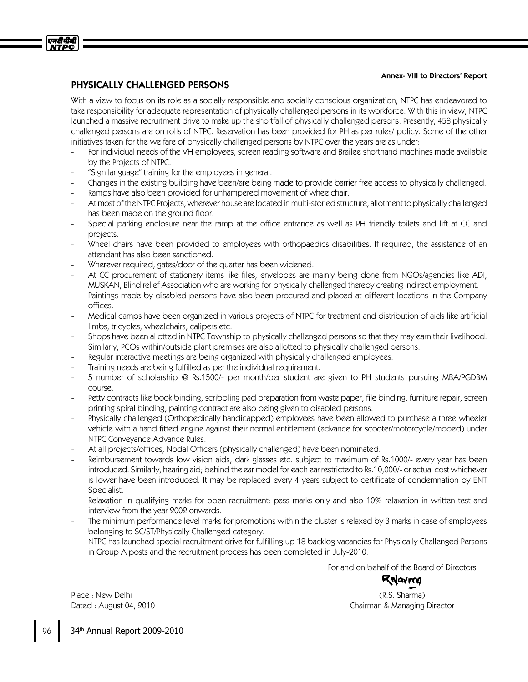#### Annex- VIII to Directors' Report

# PHYSICALLY CHALLENGED PERSONS

एनटीपीसी **NTPC** 

> With a view to focus on its role as a socially responsible and socially conscious organization, NTPC has endeavored to take responsibility for adequate representation of physically challenged persons in its workforce. With this in view, NTPC launched a massive recruitment drive to make up the shortfall of physically challenged persons. Presently, 458 physically challenged persons are on rolls of NTPC. Reservation has been provided for PH as per rules/ policy. Some of the other initiatives taken for the welfare of physically challenged persons by NTPC over the years are as under:

- For individual needs of the VH employees, screen reading software and Brailee shorthand machines made available by the Projects of NTPC.
- "Sign language"training for the employees in general.
- Changes in the existing building have been/are being made to provide barrier free access to physically challenged.
- Ramps have also been provided for unhampered movement of wheelchair.
- At most of the NTPC Projects, wherever house are located in multi-storied structure, allotment to physically challenged has been made on the ground floor.
- Special parking enclosure near the ramp at the office entrance as well as PH friendly toilets and lift at CC and projects.
- Wheel chairs have been provided to employees with orthopaedics disabilities. If required, the assistance of an attendant has also been sanctioned.
- Wherever required, gates/door of the quarter has been widened.
- At CC procurement of stationery items like files, envelopes are mainly being done from NGOs/agencies like ADI, MUSKAN, Blind relief Association who are working for physically challenged thereby creating indirect employment.
- Paintings made by disabled persons have also been procured and placed at different locations in the Company offices.
- Medical camps have been organized in various projects of NTPC for treatment and distribution of aids like artificial limbs, tricycles, wheelchairs, calipers etc.
- Shops have been allotted in NTPC Township to physically challenged persons so that they may earn their livelihood. Similarly, PCOs within/outside plant premises are also allotted to physically challenged persons.
- Regular interactive meetings are being organized with physically challenged employees.
- Training needs are being fulfilled as per the individual requirement.
- 5 number of scholarship @ Rs.1500/- per month/per student are given to PH students pursuing MBA/PGDBM course.
- Petty contracts like book binding, scribbling pad preparation from waste paper, file binding, furniture repair, screen printing spiral binding, painting contract are also being given to disabled persons.
- Physically challenged (Orthopedically handicapped) employees have been allowed to purchase a three wheeler vehicle with a hand fitted engine against their normal entitlement (advance for scooter/motorcycle/moped) under NTPC Conveyance Advance Rules.
- At all projects/offices, Nodal Officers (physically challenged) have been nominated.
- Reimbursement towards low vision aids, dark glasses etc. subject to maximum of Rs.1000/- every year has been introduced. Similarly, hearing aid; behind the ear model for each ear restricted to Rs.10,000/- or actual cost whichever is lower have been introduced. It may be replaced every 4years subject to certificate of condemnation by ENT Specialist.
- Relaxation in qualifying marks for open recruitment: pass marks only and also 10% relaxation in written test and interview from the year 2002 onwards.
- The minimum performance level marks for promotions within the cluster is relaxed by 3 marks in case of employees belonging to SC/ST/Physically Challenged category.
- NTPC has launched special recruitment drive for fulfilling up 18 backlog vacancies for Physically Challenged Persons in Group A posts and the recruitment process has been completed in July-2010.

For and on behalf of the Board of Directors

<Navna

(R.S. Sharma) Chairman & Managing Director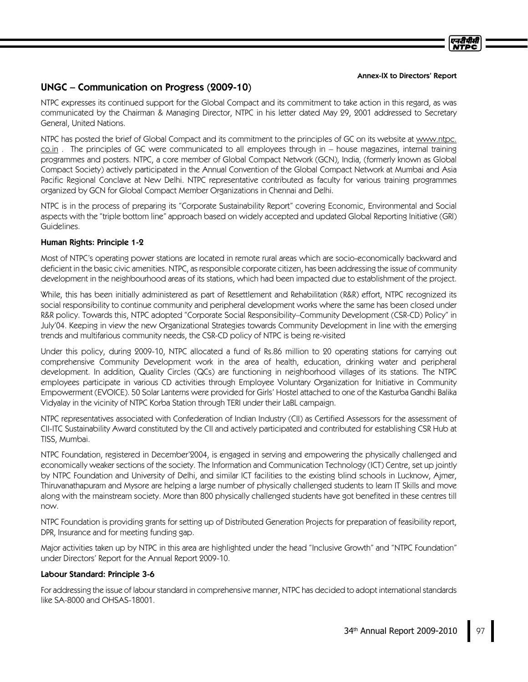#### Annex-IX to Directors' Report

एनटी पी.सी

# UNGC –Communication on Progress (2009-10)

NTPC expresses its continued support for the Global Compact and its commitment to take action in this regard, as was communicated by the Chairman & Managing Director, NTPC in his letter dated May 29, 2001 addressed to Secretary General, United Nations.

NTPC has posted the brief of Global Compact and its commitment to the principles of GC on its website at www.ntpc. co.in . The principles of GC were communicated to all employees through in –house magazines, internal training programmes and posters. NTPC, a core member of Global Compact Network (GCN), India, (formerly known as Global Compact Society) actively participated in the Annual Convention of the Global Compact Network at Mumbai and Asia Pacific Regional Conclave at New Delhi. NTPC representative contributed as faculty for various training programmes organized by GCN for Global Compact Member Organizations in Chennai and Delhi.

NTPC is in the process of preparing its "Corporate Sustainability Report"covering Economic, Environmental and Social aspects with the "triple bottom line"approach based on widely accepted and updated Global Reporting Initiative (GRI) Guidelines.

### Human Rights: Principle 1-2

Most of NTPC's operating power stations are located in remote rural areas which are socio-economically backward and deficient in the basic civic amenities. NTPC, as responsible corporate citizen, has been addressing the issue of community development in the neighbourhood areas of its stations, which had been impacted due to establishment of the project.

While, this has been initially administered as part of Resettlement and Rehabilitation (R&R) effort, NTPC recognized its social responsibility to continue community and peripheral development works where the same has been closed under R&R policy. Towards this, NTPC adopted "Corporate Social Responsibility–Community Development (CSR-CD) Policy"in July'04. Keeping in view the new Organizational Strategies towards Community Development in line with the emerging trends and multifarious community needs, the CSR-CD policy of NTPC is being re-visited

Under this policy, during 2009-10, NTPC allocated a fund of Rs.86 million to 20 operating stations for carrying out comprehensive Community Development work in the area of health, education, drinking water and peripheral development. In addition, Quality Circles (QCs) are functioning in neighborhood villages of its stations. The NTPC employees participate in various CD activities through Employee Voluntary Organization for Initiative in Community Empowerment (EVOICE). 50 Solar Lanterns were provided for Girls'Hostel attached to one of the Kasturba Gandhi Balika Vidyalay in the vicinity of NTPC Korba Station through TERI under their LaBL campaign.

NTPC representatives associated with Confederation of Indian Industry (CII) as Certified Assessors for the assessment of CII-ITC Sustainability Award constituted by the CII and actively participated and contributed for establishing CSR Hub at TISS, Mumbai.

NTPC Foundation, registered in December'2004, is engaged in serving and empowering the physically challenged and economically weaker sections of the society. The Information and Communication Technology (ICT) Centre, set up jointly by NTPC Foundation and University of Delhi, and similar ICT facilities to the existing blind schools in Lucknow, Ajmer, Thiruvanathapuram and Mysore are helping a large number of physically challenged students to learn IT Skills and move along with the mainstream society. More than 800 physically challenged students have got benefited in these centres till now.

NTPC Foundation is providing grants for setting up of Distributed Generation Projects for preparation of feasibility report, DPR, Insurance and for meeting funding gap.

Major activities taken up by NTPC in this area are highlighted under the head "Inclusive Growth"and "NTPC Foundation" under Directors' Report for the Annual Report 2009-10.

### Labour Standard: Principle 3-6

For addressing the issue of labour standard in comprehensive manner, NTPC has decided to adopt international standards like SA-8000 and OHSAS-18001.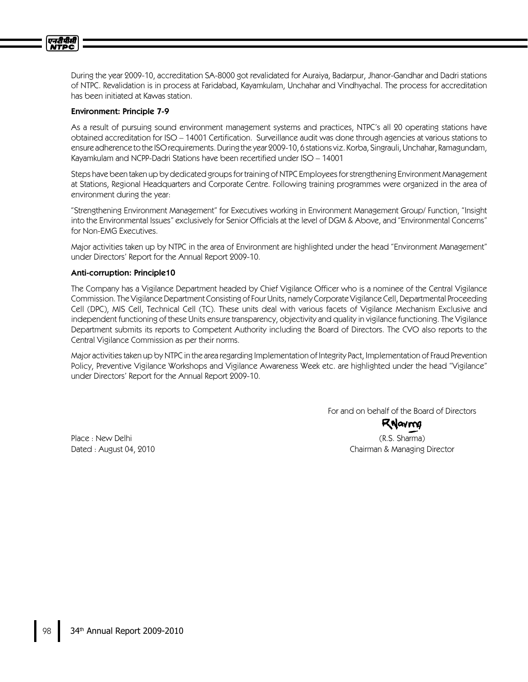

During the year 2009-10, accreditation SA-8000 got revalidated for Auraiya, Badarpur, Jhanor-Gandhar and Dadri stations of NTPC. Revalidation is in process at Faridabad, Kayamkulam, Unchahar and Vindhyachal. The process for accreditation has been initiated at Kawas station.

#### Environment: Principle 7-9

As a result of pursuing sound environment management systems and practices, NTPC's all 20 operating stations have obtained accreditation for ISO –14001 Certification. Surveillance audit was done through agencies at various stations to ensure adherence to the ISO requirements. During the year 2009-10, 6 stations viz. Korba, Singrauli, Unchahar, Ramagundam, Kayamkulam and NCPP-Dadri Stations have been recertified under ISO –14001

Steps have been taken up by dedicated groups for training of NTPC Employees for strengthening Environment Management at Stations, Regional Headquarters and Corporate Centre. Following training programmes were organized in the area of environment during the year:

"Strengthening Environment Management"for Executives working in Environment Management Group/ Function, "Insight into the Environmental Issues"exclusively for Senior Officials at the level of DGM & Above, and "Environmental Concerns" for Non-EMG Executives.

Major activities taken up by NTPC in the area of Environment are highlighted under the head "Environment Management" under Directors' Report for the Annual Report 2009-10.

#### Anti-corruption: Principle10

The Company has a Vigilance Department headed by Chief Vigilance Officer who is a nominee of the Central Vigilance Commission. The Vigilance Department Consisting of Four Units, namely Corporate Vigilance Cell, Departmental Proceeding Cell (DPC), MIS Cell, Technical Cell (TC). These units deal with various facets of Vigilance Mechanism Exclusive and independent functioning of these Units ensure transparency, objectivity and quality in vigilance functioning. The Vigilance Department submits its reports to Competent Authority including the Board of Directors. The CVO also reports to the Central Vigilance Commission as per their norms.

Major activities taken up by NTPC in the area regarding Implementation of Integrity Pact, Implementation of Fraud Prevention Policy, Preventive Vigilance Workshops and Vigilance Awareness Week etc. are highlighted under the head "Vigilance" under Directors' Report for the Annual Report 2009-10.

> For and on behalf of the Board of Directors RNavna

Place : New Delhi Dated : August 04, 2010

(R.S. Sharma) Chairman & Managing Director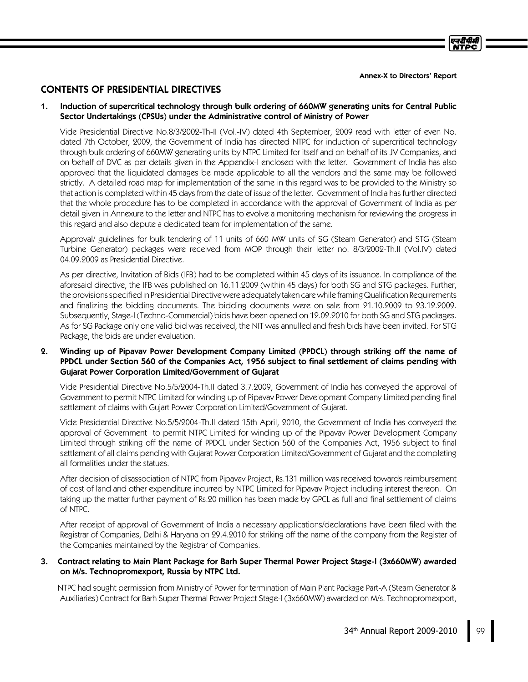# CONTENTS OF PRESIDENTIAL DIRECTIVES

### 1. Induction of supercritical technology through bulk ordering of 660MW generating units for Central Public Sector Undertakings (CPSUs) under the Administrative control of Ministry of Power

Vide Presidential Directive No.8/3/2002-Th-II (Vol.-IV) dated 4th September, 2009 read with letter of even No. dated 7th October, 2009, the Government of India has directed NTPC for induction of supercritical technology through bulk ordering of 660MW generating units by NTPC Limited for itself and on behalf of its JV Companies, and on behalf of DVC as per details given in the Appendix-I enclosed with the letter. Government of India has also approved that the liquidated damages be made applicable to all the vendors and the same may be followed strictly. A detailed road map for implementation of the same in this regard was to be provided to the Ministry so that action is completed within 45 days from the date of issue of the letter. Government of India has further directed that the whole procedure has to be completed in accordance with the approval of Government of India as per detail given in Annexure to the letter and NTPC has to evolve a monitoring mechanism for reviewing the progress in this regard and also depute a dedicated team for implementation of the same.

Approval/ guidelines for bulk tendering of 11 units of 660 MW units of SG (Steam Generator) and STG (Steam Turbine Generator) packages were received from MOP through their letter no. 8/3/2002-Th.II (Vol.IV) dated 04.09.2009 as Presidential Directive.

As per directive, Invitation of Bids (IFB) had to be completed within 45 days of its issuance. In compliance of the aforesaid directive, the IFB was published on 16.11.2009 (within 45 days) for both SG and STG packages. Further, the provisions specified in Presidential Directive were adequately taken care while framing Qualification Requirements and finalizing the bidding documents. The bidding documents were on sale from 21.10.2009 to 23.12.2009. Subsequently, Stage-I (Techno-Commercial) bids have been opened on 12.02.2010 for both SG and STG packages. As for SG Package only one valid bid was received, the NIT was annulled and fresh bids have been invited. For STG Package, the bids are under evaluation.

### 2. Winding up of Pipavav Power Development Company Limited (PPDCL) through striking off the name of PPDCL under Section 560 of the Companies Act, 1956 subject to final settlement of claims pending with Gujarat Power Corporation Limited/Government of Gujarat

Vide Presidential Directive No.5/5/2004-Th.II dated 3.7.2009, Government of India has conveyed the approval of Government to permit NTPC Limited for winding up of Pipavav Power Development Company Limited pending final settlement of claims with Gujart Power Corporation Limited/Government of Gujarat.

Vide Presidential Directive No.5/5/2004-Th.II dated 15th April, 2010, the Government of India has conveyed the approval of Government to permit NTPC Limited for winding up of the Pipavav Power Development Company Limited through striking off the name of PPDCL under Section 560 of the Companies Act, 1956 subject to final settlement of all claims pending with Gujarat Power Corporation Limited/Government of Gujarat and the completing all formalities under the statues.

After decision of disassociation of NTPC from Pipavav Project, Rs.131 million was received towards reimbursement of cost of land and other expenditure incurred by NTPC Limited for Pipavav Project including interest thereon. On taking up the matter further payment of Rs.20 million has been made by GPCL as full and final settlement of claims of NTPC.

After receipt of approval of Government of India a necessary applications/declarations have been filed with the Registrar of Companies, Delhi & Haryana on 29.4.2010 for striking off the name of the company from the Register of the Companies maintained by the Registrar of Companies.

### 3. Contract relating to Main Plant Package for Barh Super Thermal Power Project Stage-I (3x660MW) awarded on M/s. Technopromexport, Russia by NTPC Ltd.

NTPC had sought permission from Ministry of Power for termination of Main Plant Package Part-A (Steam Generator & Auxiliaries) Contract for Barh Super Thermal Power Project Stage-I (3x660MW) awarded on M/s. Technopromexport,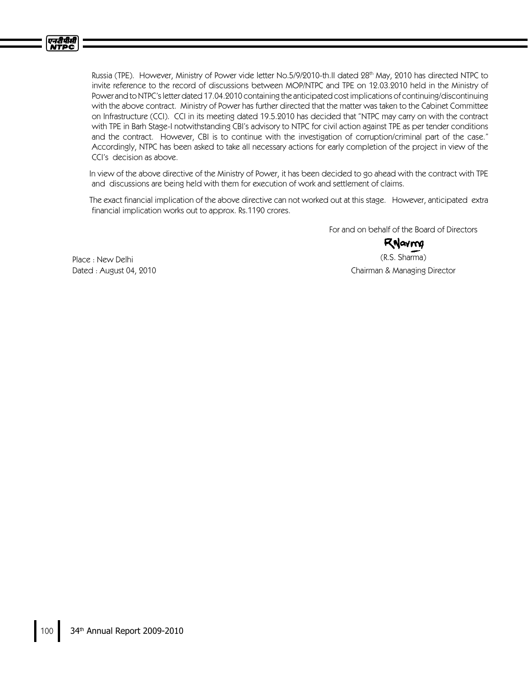

Russia (TPE). However, Ministry of Power vide letter No.5/9/2010-th.II dated 28 th May, 2010 has directed NTPC to invite reference to the record of discussions between MOP/NTPC and TPE on 12.03.2010 held in the Ministry of Power and toNTPC'sletter dated 17.04.2010 containing the anticipated cost implications of continuing/discontinuing with the above contract. Ministry of Power has further directed that the matter was taken to the Cabinet Committee on Infrastructure (CCI). CCI in its meeting dated 19.5.2010 has decided that "NTPC may carry on with the contract with TPE in Barh Stage-I notwithstanding CBI's advisory to NTPC for civil action against TPE as per tender conditions and the contract. However, CBI is to continue with the investigation of corruption/criminal part of the case." Accordingly, NTPC has been asked to take all necessary actions for early completion of the project in view of the CCI's decision as above.

In view of the above directive of the Ministry of Power, it has been decided to go ahead with the contract with TPE and discussions are being held with them for execution of work and settlement of claims.

The exact financial implication of the above directive can not worked out at this stage. However, anticipated extra financial implication works out to approx. Rs.1190 crores.

For and on behalf of the Board of Directors

RNavma

(R.S. Sharma) Chairman & Managing Director